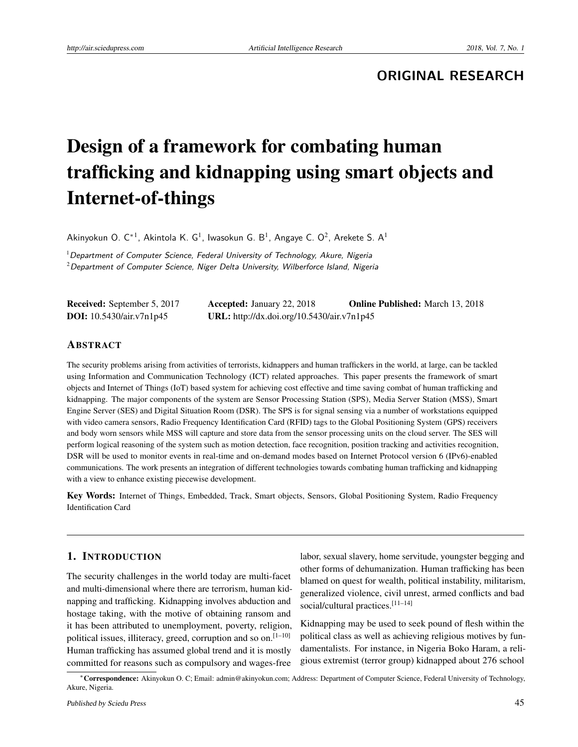**ORIGINAL RESEARCH**

# Design of a framework for combating human trafficking and kidnapping using smart objects and Internet-of-things

Akinyokun O. C $^{*1}$ , Akintola K. G<sup>1</sup>, Iwasokun G. B<sup>1</sup>, Angaye C. O<sup>2</sup>, Arekete S. A<sup>1</sup>

 $1$ Department of Computer Science, Federal University of Technology, Akure, Nigeria  $2$  Department of Computer Science, Niger Delta University, Wilberforce Island, Nigeria

| Received: September 5, 2017       | <b>Accepted:</b> January 22, 2018          | <b>Online Published:</b> March 13, 2018 |
|-----------------------------------|--------------------------------------------|-----------------------------------------|
| <b>DOI:</b> $10.5430/air.v7n1p45$ | URL: http://dx.doi.org/10.5430/air.v7n1p45 |                                         |

#### ABSTRACT

The security problems arising from activities of terrorists, kidnappers and human traffickers in the world, at large, can be tackled using Information and Communication Technology (ICT) related approaches. This paper presents the framework of smart objects and Internet of Things (IoT) based system for achieving cost effective and time saving combat of human trafficking and kidnapping. The major components of the system are Sensor Processing Station (SPS), Media Server Station (MSS), Smart Engine Server (SES) and Digital Situation Room (DSR). The SPS is for signal sensing via a number of workstations equipped with video camera sensors, Radio Frequency Identification Card (RFID) tags to the Global Positioning System (GPS) receivers and body worn sensors while MSS will capture and store data from the sensor processing units on the cloud server. The SES will perform logical reasoning of the system such as motion detection, face recognition, position tracking and activities recognition, DSR will be used to monitor events in real-time and on-demand modes based on Internet Protocol version 6 (IPv6)-enabled communications. The work presents an integration of different technologies towards combating human trafficking and kidnapping with a view to enhance existing piecewise development.

Key Words: Internet of Things, Embedded, Track, Smart objects, Sensors, Global Positioning System, Radio Frequency Identification Card

## 1. INTRODUCTION

The security challenges in the world today are multi-facet and multi-dimensional where there are terrorism, human kidnapping and trafficking. Kidnapping involves abduction and hostage taking, with the motive of obtaining ransom and it has been attributed to unemployment, poverty, religion, political issues, illiteracy, greed, corruption and so on.<sup>[\[1](#page-6-0)-10]</sup> Human trafficking has assumed global trend and it is mostly committed for reasons such as compulsory and wages-free

labor, sexual slavery, home servitude, youngster begging and other forms of dehumanization. Human trafficking has been blamed on quest for wealth, political instability, militarism, generalized violence, civil unrest, armed conflicts and bad social/cultural practices.<sup>[\[11](#page-6-2)[–14\]](#page-6-3)</sup>

Kidnapping may be used to seek pound of flesh within the political class as well as achieving religious motives by fundamentalists. For instance, in Nigeria Boko Haram, a religious extremist (terror group) kidnapped about 276 school

<sup>∗</sup>Correspondence: Akinyokun O. C; Email: admin@akinyokun.com; Address: Department of Computer Science, Federal University of Technology, Akure, Nigeria.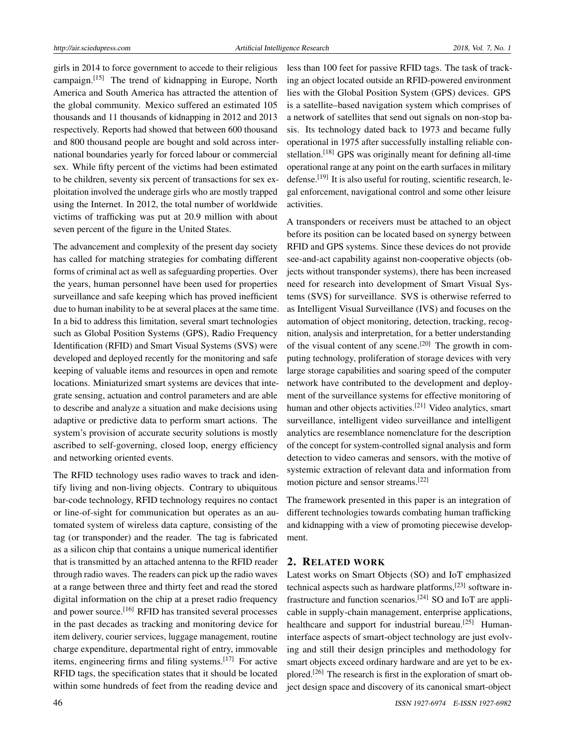girls in 2014 to force government to accede to their religious campaign.[\[15\]](#page-6-4) The trend of kidnapping in Europe, North America and South America has attracted the attention of the global community. Mexico suffered an estimated 105 thousands and 11 thousands of kidnapping in 2012 and 2013 respectively. Reports had showed that between 600 thousand and 800 thousand people are bought and sold across international boundaries yearly for forced labour or commercial sex. While fifty percent of the victims had been estimated to be children, seventy six percent of transactions for sex exploitation involved the underage girls who are mostly trapped using the Internet. In 2012, the total number of worldwide victims of trafficking was put at 20.9 million with about seven percent of the figure in the United States.

The advancement and complexity of the present day society has called for matching strategies for combating different forms of criminal act as well as safeguarding properties. Over the years, human personnel have been used for properties surveillance and safe keeping which has proved inefficient due to human inability to be at several places at the same time. In a bid to address this limitation, several smart technologies such as Global Position Systems (GPS), Radio Frequency Identification (RFID) and Smart Visual Systems (SVS) were developed and deployed recently for the monitoring and safe keeping of valuable items and resources in open and remote locations. Miniaturized smart systems are devices that integrate sensing, actuation and control parameters and are able to describe and analyze a situation and make decisions using adaptive or predictive data to perform smart actions. The system's provision of accurate security solutions is mostly ascribed to self-governing, closed loop, energy efficiency and networking oriented events.

The RFID technology uses radio waves to track and identify living and non-living objects. Contrary to ubiquitous bar-code technology, RFID technology requires no contact or line-of-sight for communication but operates as an automated system of wireless data capture, consisting of the tag (or transponder) and the reader. The tag is fabricated as a silicon chip that contains a unique numerical identifier that is transmitted by an attached antenna to the RFID reader through radio waves. The readers can pick up the radio waves at a range between three and thirty feet and read the stored digital information on the chip at a preset radio frequency and power source.<sup>[\[16\]](#page-6-5)</sup> RFID has transited several processes in the past decades as tracking and monitoring device for item delivery, courier services, luggage management, routine charge expenditure, departmental right of entry, immovable items, engineering firms and filing systems.[\[17\]](#page-6-6) For active RFID tags, the specification states that it should be located within some hundreds of feet from the reading device and

less than 100 feet for passive RFID tags. The task of tracking an object located outside an RFID-powered environment lies with the Global Position System (GPS) devices. GPS is a satellite–based navigation system which comprises of a network of satellites that send out signals on non-stop basis. Its technology dated back to 1973 and became fully operational in 1975 after successfully installing reliable con-stellation.<sup>[\[18\]](#page-6-7)</sup> GPS was originally meant for defining all-time operational range at any point on the earth surfaces in military defense.<sup>[\[19\]](#page-6-8)</sup> It is also useful for routing, scientific research, legal enforcement, navigational control and some other leisure activities.

A transponders or receivers must be attached to an object before its position can be located based on synergy between RFID and GPS systems. Since these devices do not provide see-and-act capability against non-cooperative objects (objects without transponder systems), there has been increased need for research into development of Smart Visual Systems (SVS) for surveillance. SVS is otherwise referred to as Intelligent Visual Surveillance (IVS) and focuses on the automation of object monitoring, detection, tracking, recognition, analysis and interpretation, for a better understanding of the visual content of any scene.<sup>[\[20\]](#page-6-9)</sup> The growth in computing technology, proliferation of storage devices with very large storage capabilities and soaring speed of the computer network have contributed to the development and deployment of the surveillance systems for effective monitoring of human and other objects activities.<sup>[\[21\]](#page-6-10)</sup> Video analytics, smart surveillance, intelligent video surveillance and intelligent analytics are resemblance nomenclature for the description of the concept for system-controlled signal analysis and form detection to video cameras and sensors, with the motive of systemic extraction of relevant data and information from motion picture and sensor streams.[\[22\]](#page-6-11)

The framework presented in this paper is an integration of different technologies towards combating human trafficking and kidnapping with a view of promoting piecewise development.

#### 2. RELATED WORK

Latest works on Smart Objects (SO) and IoT emphasized technical aspects such as hardware platforms,<sup>[\[23\]](#page-6-12)</sup> software in-frastructure and function scenarios.<sup>[\[24\]](#page-6-13)</sup> SO and IoT are applicable in supply-chain management, enterprise applications, healthcare and support for industrial bureau.<sup>[\[25\]](#page-6-14)</sup> Humaninterface aspects of smart-object technology are just evolving and still their design principles and methodology for smart objects exceed ordinary hardware and are yet to be ex-plored.<sup>[\[26\]](#page-6-15)</sup> The research is first in the exploration of smart object design space and discovery of its canonical smart-object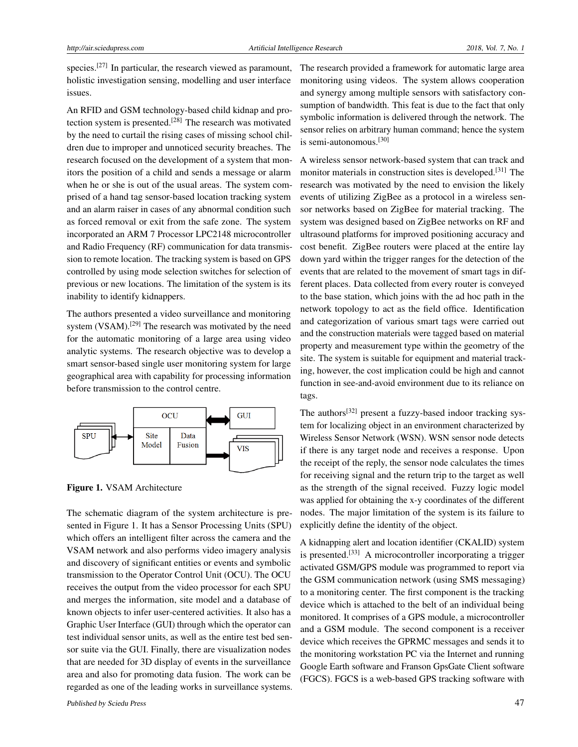species.<sup>[\[27\]](#page-7-0)</sup> In particular, the research viewed as paramount, holistic investigation sensing, modelling and user interface issues.

An RFID and GSM technology-based child kidnap and protection system is presented.[\[28\]](#page-7-1) The research was motivated by the need to curtail the rising cases of missing school children due to improper and unnoticed security breaches. The research focused on the development of a system that monitors the position of a child and sends a message or alarm when he or she is out of the usual areas. The system comprised of a hand tag sensor-based location tracking system and an alarm raiser in cases of any abnormal condition such as forced removal or exit from the safe zone. The system incorporated an ARM 7 Processor LPC2148 microcontroller and Radio Frequency (RF) communication for data transmission to remote location. The tracking system is based on GPS controlled by using mode selection switches for selection of previous or new locations. The limitation of the system is its inability to identify kidnappers.

The authors presented a video surveillance and monitoring system (VSAM).<sup>[\[29\]](#page-7-2)</sup> The research was motivated by the need for the automatic monitoring of a large area using video analytic systems. The research objective was to develop a smart sensor-based single user monitoring system for large geographical area with capability for processing information before transmission to the control centre.



Figure 1. VSAM Architecture

The schematic diagram of the system architecture is presented in Figure 1. It has a Sensor Processing Units (SPU) which offers an intelligent filter across the camera and the VSAM network and also performs video imagery analysis and discovery of significant entities or events and symbolic transmission to the Operator Control Unit (OCU). The OCU receives the output from the video processor for each SPU and merges the information, site model and a database of known objects to infer user-centered activities. It also has a Graphic User Interface (GUI) through which the operator can test individual sensor units, as well as the entire test bed sensor suite via the GUI. Finally, there are visualization nodes that are needed for 3D display of events in the surveillance area and also for promoting data fusion. The work can be regarded as one of the leading works in surveillance systems.

The research provided a framework for automatic large area monitoring using videos. The system allows cooperation and synergy among multiple sensors with satisfactory consumption of bandwidth. This feat is due to the fact that only symbolic information is delivered through the network. The sensor relies on arbitrary human command; hence the system is semi-autonomous.[\[30\]](#page-7-3)

A wireless sensor network-based system that can track and monitor materials in construction sites is developed.[\[31\]](#page-7-4) The research was motivated by the need to envision the likely events of utilizing ZigBee as a protocol in a wireless sensor networks based on ZigBee for material tracking. The system was designed based on ZigBee networks on RF and ultrasound platforms for improved positioning accuracy and cost benefit. ZigBee routers were placed at the entire lay down yard within the trigger ranges for the detection of the events that are related to the movement of smart tags in different places. Data collected from every router is conveyed to the base station, which joins with the ad hoc path in the network topology to act as the field office. Identification and categorization of various smart tags were carried out and the construction materials were tagged based on material property and measurement type within the geometry of the site. The system is suitable for equipment and material tracking, however, the cost implication could be high and cannot function in see-and-avoid environment due to its reliance on tags.

The authors<sup>[\[32\]](#page-7-5)</sup> present a fuzzy-based indoor tracking system for localizing object in an environment characterized by Wireless Sensor Network (WSN). WSN sensor node detects if there is any target node and receives a response. Upon the receipt of the reply, the sensor node calculates the times for receiving signal and the return trip to the target as well as the strength of the signal received. Fuzzy logic model was applied for obtaining the x-y coordinates of the different nodes. The major limitation of the system is its failure to explicitly define the identity of the object.

A kidnapping alert and location identifier (CKALID) system is presented.<sup>[\[33\]](#page-7-6)</sup> A microcontroller incorporating a trigger activated GSM/GPS module was programmed to report via the GSM communication network (using SMS messaging) to a monitoring center. The first component is the tracking device which is attached to the belt of an individual being monitored. It comprises of a GPS module, a microcontroller and a GSM module. The second component is a receiver device which receives the GPRMC messages and sends it to the monitoring workstation PC via the Internet and running Google Earth software and Franson GpsGate Client software (FGCS). FGCS is a web-based GPS tracking software with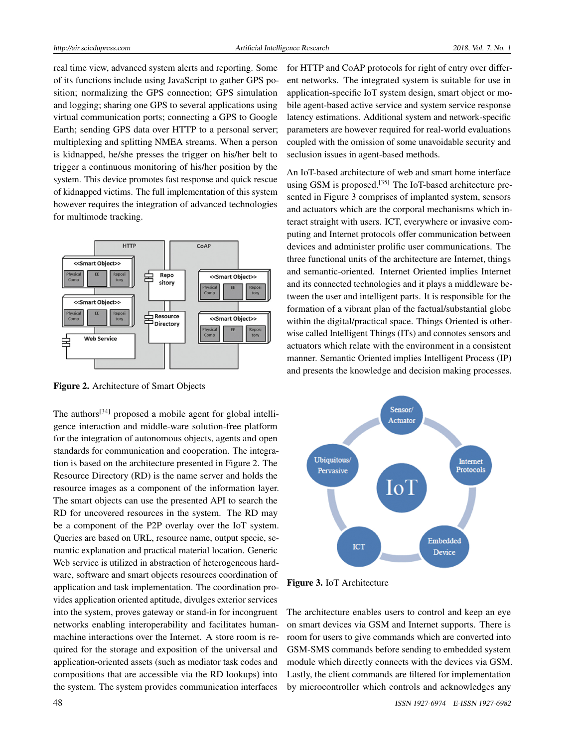real time view, advanced system alerts and reporting. Some of its functions include using JavaScript to gather GPS position; normalizing the GPS connection; GPS simulation and logging; sharing one GPS to several applications using virtual communication ports; connecting a GPS to Google Earth; sending GPS data over HTTP to a personal server; multiplexing and splitting NMEA streams. When a person is kidnapped, he/she presses the trigger on his/her belt to trigger a continuous monitoring of his/her position by the system. This device promotes fast response and quick rescue of kidnapped victims. The full implementation of this system however requires the integration of advanced technologies for multimode tracking.



Figure 2. Architecture of Smart Objects

The authors<sup>[\[34\]](#page-7-7)</sup> proposed a mobile agent for global intelligence interaction and middle-ware solution-free platform for the integration of autonomous objects, agents and open standards for communication and cooperation. The integration is based on the architecture presented in Figure 2. The Resource Directory (RD) is the name server and holds the resource images as a component of the information layer. The smart objects can use the presented API to search the RD for uncovered resources in the system. The RD may be a component of the P2P overlay over the IoT system. Queries are based on URL, resource name, output specie, semantic explanation and practical material location. Generic Web service is utilized in abstraction of heterogeneous hardware, software and smart objects resources coordination of application and task implementation. The coordination provides application oriented aptitude, divulges exterior services into the system, proves gateway or stand-in for incongruent networks enabling interoperability and facilitates humanmachine interactions over the Internet. A store room is required for the storage and exposition of the universal and application-oriented assets (such as mediator task codes and compositions that are accessible via the RD lookups) into the system. The system provides communication interfaces

for HTTP and CoAP protocols for right of entry over different networks. The integrated system is suitable for use in application-specific IoT system design, smart object or mobile agent-based active service and system service response latency estimations. Additional system and network-specific parameters are however required for real-world evaluations coupled with the omission of some unavoidable security and seclusion issues in agent-based methods.

An IoT-based architecture of web and smart home interface using GSM is proposed.<sup>[\[35\]](#page-7-8)</sup> The IoT-based architecture presented in Figure 3 comprises of implanted system, sensors and actuators which are the corporal mechanisms which interact straight with users. ICT, everywhere or invasive computing and Internet protocols offer communication between devices and administer prolific user communications. The three functional units of the architecture are Internet, things and semantic-oriented. Internet Oriented implies Internet and its connected technologies and it plays a middleware between the user and intelligent parts. It is responsible for the formation of a vibrant plan of the factual/substantial globe within the digital/practical space. Things Oriented is otherwise called Intelligent Things (ITs) and connotes sensors and actuators which relate with the environment in a consistent manner. Semantic Oriented implies Intelligent Process (IP) and presents the knowledge and decision making processes.



Figure 3. IoT Architecture

The architecture enables users to control and keep an eye on smart devices via GSM and Internet supports. There is room for users to give commands which are converted into GSM-SMS commands before sending to embedded system module which directly connects with the devices via GSM. Lastly, the client commands are filtered for implementation by microcontroller which controls and acknowledges any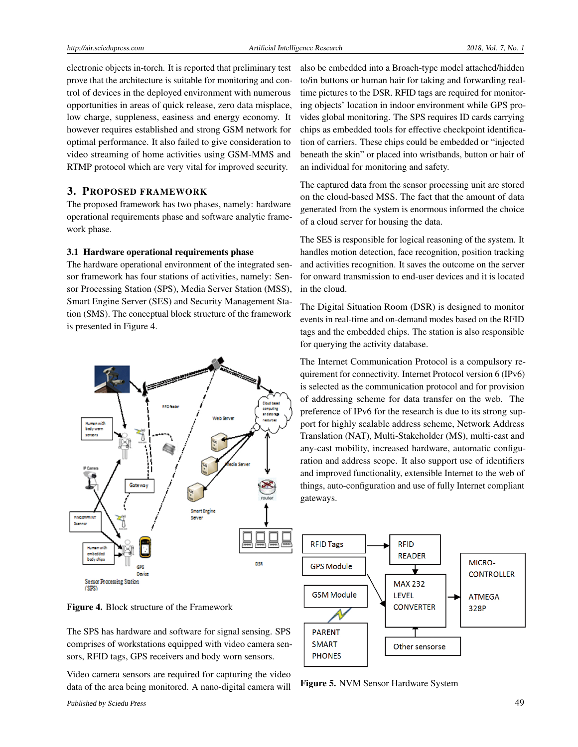electronic objects in-torch. It is reported that preliminary test prove that the architecture is suitable for monitoring and control of devices in the deployed environment with numerous opportunities in areas of quick release, zero data misplace, low charge, suppleness, easiness and energy economy. It however requires established and strong GSM network for optimal performance. It also failed to give consideration to video streaming of home activities using GSM-MMS and RTMP protocol which are very vital for improved security.

## 3. PROPOSED FRAMEWORK

The proposed framework has two phases, namely: hardware operational requirements phase and software analytic framework phase.

#### 3.1 Hardware operational requirements phase

The hardware operational environment of the integrated sensor framework has four stations of activities, namely: Sensor Processing Station (SPS), Media Server Station (MSS), Smart Engine Server (SES) and Security Management Station (SMS). The conceptual block structure of the framework is presented in Figure 4.



also be embedded into a Broach-type model attached/hidden to/in buttons or human hair for taking and forwarding realtime pictures to the DSR. RFID tags are required for monitoring objects' location in indoor environment while GPS provides global monitoring. The SPS requires ID cards carrying chips as embedded tools for effective checkpoint identification of carriers. These chips could be embedded or "injected beneath the skin" or placed into wristbands, button or hair of an individual for monitoring and safety.

The captured data from the sensor processing unit are stored on the cloud-based MSS. The fact that the amount of data generated from the system is enormous informed the choice of a cloud server for housing the data.

The SES is responsible for logical reasoning of the system. It handles motion detection, face recognition, position tracking and activities recognition. It saves the outcome on the server for onward transmission to end-user devices and it is located in the cloud.

The Digital Situation Room (DSR) is designed to monitor events in real-time and on-demand modes based on the RFID tags and the embedded chips. The station is also responsible for querying the activity database.

The Internet Communication Protocol is a compulsory requirement for connectivity. Internet Protocol version 6 (IPv6) is selected as the communication protocol and for provision of addressing scheme for data transfer on the web. The preference of IPv6 for the research is due to its strong support for highly scalable address scheme, Network Address Translation (NAT), Multi-Stakeholder (MS), multi-cast and any-cast mobility, increased hardware, automatic configuration and address scope. It also support use of identifiers and improved functionality, extensible Internet to the web of things, auto-configuration and use of fully Internet compliant gateways.



Figure 4. Block structure of the Framework

The SPS has hardware and software for signal sensing. SPS comprises of workstations equipped with video camera sensors, RFID tags, GPS receivers and body worn sensors.

Video camera sensors are required for capturing the video data of the area being monitored. A nano-digital camera will

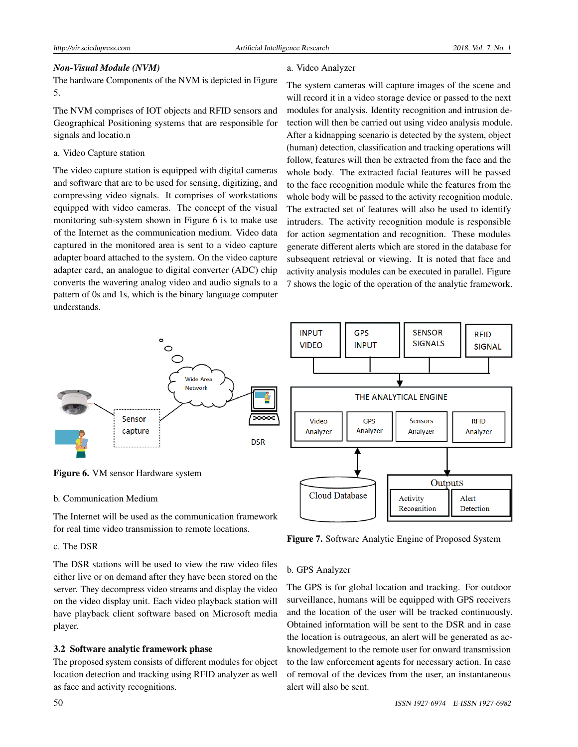# *Non-Visual Module (NVM)*

The hardware Components of the NVM is depicted in Figure 5.

The NVM comprises of IOT objects and RFID sensors and Geographical Positioning systems that are responsible for signals and locatio.n

# a. Video Capture station

The video capture station is equipped with digital cameras and software that are to be used for sensing, digitizing, and compressing video signals. It comprises of workstations equipped with video cameras. The concept of the visual monitoring sub-system shown in Figure 6 is to make use of the Internet as the communication medium. Video data captured in the monitored area is sent to a video capture adapter board attached to the system. On the video capture adapter card, an analogue to digital converter (ADC) chip converts the wavering analog video and audio signals to a pattern of 0s and 1s, which is the binary language computer understands.

# a. Video Analyzer

The system cameras will capture images of the scene and will record it in a video storage device or passed to the next modules for analysis. Identity recognition and intrusion detection will then be carried out using video analysis module. After a kidnapping scenario is detected by the system, object (human) detection, classification and tracking operations will follow, features will then be extracted from the face and the whole body. The extracted facial features will be passed to the face recognition module while the features from the whole body will be passed to the activity recognition module. The extracted set of features will also be used to identify intruders. The activity recognition module is responsible for action segmentation and recognition. These modules generate different alerts which are stored in the database for subsequent retrieval or viewing. It is noted that face and activity analysis modules can be executed in parallel. Figure 7 shows the logic of the operation of the analytic framework.



# Figure 6. VM sensor Hardware system

# b. Communication Medium

The Internet will be used as the communication framework for real time video transmission to remote locations.

# c. The DSR

The DSR stations will be used to view the raw video files either live or on demand after they have been stored on the server. They decompress video streams and display the video on the video display unit. Each video playback station will have playback client software based on Microsoft media player.

# 3.2 Software analytic framework phase

The proposed system consists of different modules for object location detection and tracking using RFID analyzer as well as face and activity recognitions.



Figure 7. Software Analytic Engine of Proposed System

#### b. GPS Analyzer

The GPS is for global location and tracking. For outdoor surveillance, humans will be equipped with GPS receivers and the location of the user will be tracked continuously. Obtained information will be sent to the DSR and in case the location is outrageous, an alert will be generated as acknowledgement to the remote user for onward transmission to the law enforcement agents for necessary action. In case of removal of the devices from the user, an instantaneous alert will also be sent.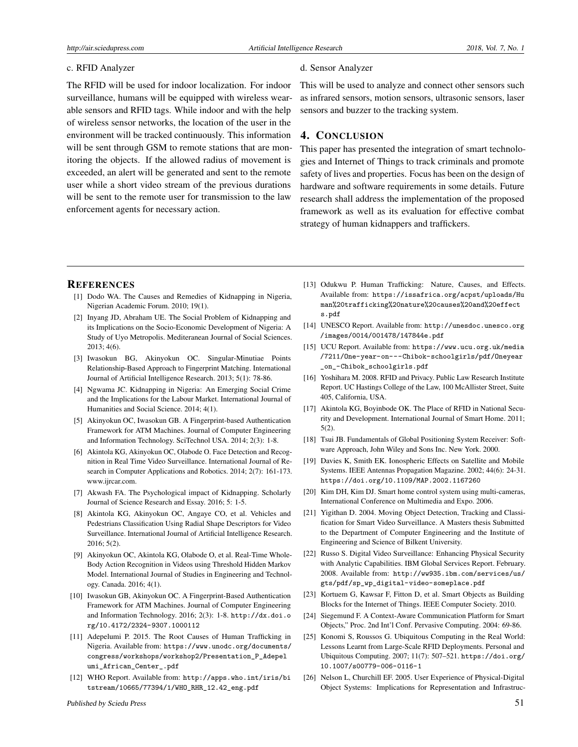#### c. RFID Analyzer

The RFID will be used for indoor localization. For indoor surveillance, humans will be equipped with wireless wearable sensors and RFID tags. While indoor and with the help of wireless sensor networks, the location of the user in the environment will be tracked continuously. This information will be sent through GSM to remote stations that are monitoring the objects. If the allowed radius of movement is exceeded, an alert will be generated and sent to the remote user while a short video stream of the previous durations will be sent to the remote user for transmission to the law enforcement agents for necessary action.

#### d. Sensor Analyzer

This will be used to analyze and connect other sensors such as infrared sensors, motion sensors, ultrasonic sensors, laser sensors and buzzer to the tracking system.

## 4. CONCLUSION

This paper has presented the integration of smart technologies and Internet of Things to track criminals and promote safety of lives and properties. Focus has been on the design of hardware and software requirements in some details. Future research shall address the implementation of the proposed framework as well as its evaluation for effective combat strategy of human kidnappers and traffickers.

### **REFERENCES**

- <span id="page-6-0"></span>[1] Dodo WA. The Causes and Remedies of Kidnapping in Nigeria, Nigerian Academic Forum. 2010; 19(1).
- [2] Inyang JD, Abraham UE. The Social Problem of Kidnapping and its Implications on the Socio-Economic Development of Nigeria: A Study of Uyo Metropolis. Mediteranean Journal of Social Sciences. 2013; 4(6).
- [3] Iwasokun BG, Akinyokun OC. Singular-Minutiae Points Relationship-Based Approach to Fingerprint Matching. International Journal of Artificial Intelligence Research. 2013; 5(1): 78-86.
- [4] Ngwama JC. Kidnapping in Nigeria: An Emerging Social Crime and the Implications for the Labour Market. International Journal of Humanities and Social Science. 2014; 4(1).
- [5] Akinyokun OC, Iwasokun GB. A Fingerprint-based Authentication Framework for ATM Machines. Journal of Computer Engineering and Information Technology. SciTechnol USA. 2014; 2(3): 1-8.
- [6] Akintola KG, Akinyokun OC, Olabode O. Face Detection and Recognition in Real Time Video Surveillance. International Journal of Research in Computer Applications and Robotics. 2014; 2(7): 161-173. www.ijrcar.com.
- [7] Akwash FA. The Psychological impact of Kidnapping. Scholarly Journal of Science Research and Essay. 2016; 5: 1-5.
- [8] Akintola KG, Akinyokun OC, Angaye CO, et al. Vehicles and Pedestrians Classification Using Radial Shape Descriptors for Video Surveillance. International Journal of Artificial Intelligence Research. 2016; 5(2).
- [9] Akinyokun OC, Akintola KG, Olabode O, et al. Real-Time Whole-Body Action Recognition in Videos using Threshold Hidden Markov Model. International Journal of Studies in Engineering and Technology. Canada. 2016; 4(1).
- <span id="page-6-1"></span>[10] Iwasokun GB, Akinyokun OC. A Fingerprint-Based Authentication Framework for ATM Machines. Journal of Computer Engineering and Information Technology. 2016; 2(3): 1-8. [http://dx.doi.o](http://dx.doi.org/10.4172/2324-9307.1000112) [rg/10.4172/2324-9307.1000112](http://dx.doi.org/10.4172/2324-9307.1000112)
- <span id="page-6-2"></span>[11] Adepelumi P. 2015. The Root Causes of Human Trafficking in Nigeria. Available from: [https://www.unodc.org/documents/](https://www.unodc.org/documents/congress/workshops/workshop2/Presentation_P_Adepelumi_African_Center_.pdf) [congress/workshops/workshop2/Presentation\\_P\\_Adepel](https://www.unodc.org/documents/congress/workshops/workshop2/Presentation_P_Adepelumi_African_Center_.pdf) [umi\\_African\\_Center\\_.pdf](https://www.unodc.org/documents/congress/workshops/workshop2/Presentation_P_Adepelumi_African_Center_.pdf)
- [12] WHO Report. Available from: [http://apps.who.int/iris/bi](http://apps.who.int/iris/ bitstream/10665/77394/1/WHO_RHR_12.42_eng.pdf) [tstream/10665/77394/1/WHO\\_RHR\\_12.42\\_eng.pdf](http://apps.who.int/iris/ bitstream/10665/77394/1/WHO_RHR_12.42_eng.pdf)
- [13] Odukwu P. Human Trafficking: Nature, Causes, and Effects. Available from: [https://issafrica.org/acpst/uploads/Hu](https://issafrica.org/ acpst/uploads/ Human%20trafficking% 20nature%20causes%20and%20effects.pdf) [man%20trafficking%20nature%20causes%20and%20effect](https://issafrica.org/ acpst/uploads/ Human%20trafficking% 20nature%20causes%20and%20effects.pdf) [s.pdf](https://issafrica.org/ acpst/uploads/ Human%20trafficking% 20nature%20causes%20and%20effects.pdf)
- <span id="page-6-3"></span>[14] UNESCO Report. Available from: [http://unesdoc.unesco.org](http://unesdoc.unesco.org/images/ 0014/001478/147844e.pdf) [/images/0014/001478/147844e.pdf](http://unesdoc.unesco.org/images/ 0014/001478/147844e.pdf)
- <span id="page-6-4"></span>[15] UCU Report. Available from: [https://www.ucu.org.uk/media](https://www.ucu.org.uk/media/7211/One-year-on---Chibok-schoolgirls/pdf/Oneyear_on_-Chibok_schoolgirls.pdf) [/7211/One-year-on---Chibok-schoolgirls/pdf/Oneyear](https://www.ucu.org.uk/media/7211/One-year-on---Chibok-schoolgirls/pdf/Oneyear_on_-Chibok_schoolgirls.pdf) [\\_on\\_-Chibok\\_schoolgirls.pdf](https://www.ucu.org.uk/media/7211/One-year-on---Chibok-schoolgirls/pdf/Oneyear_on_-Chibok_schoolgirls.pdf)
- <span id="page-6-5"></span>[16] Yoshihara M. 2008. RFID and Privacy. Public Law Research Institute Report. UC Hastings College of the Law, 100 McAllister Street, Suite 405, California, USA.
- <span id="page-6-6"></span>[17] Akintola KG, Boyinbode OK. The Place of RFID in National Security and Development. International Journal of Smart Home. 2011; 5(2).
- <span id="page-6-7"></span>[18] Tsui JB. Fundamentals of Global Positioning System Receiver: Software Approach, John Wiley and Sons Inc. New York. 2000.
- <span id="page-6-8"></span>[19] Davies K, Smith EK. Ionospheric Effects on Satellite and Mobile Systems. IEEE Antennas Propagation Magazine. 2002; 44(6): 24-31. <https://doi.org/10.1109/MAP.2002.1167260>
- <span id="page-6-9"></span>[20] Kim DH, Kim DJ. Smart home control system using multi-cameras, International Conference on Multimedia and Expo. 2006.
- <span id="page-6-10"></span>[21] Yigithan D. 2004. Moving Object Detection, Tracking and Classification for Smart Video Surveillance. A Masters thesis Submitted to the Department of Computer Engineering and the Institute of Engineering and Science of Bilkent University.
- <span id="page-6-11"></span>[22] Russo S. Digital Video Surveillance: Enhancing Physical Security with Analytic Capabilities. IBM Global Services Report. February. 2008. Available from: [http://ww935.ibm.com/services/us/](http://ww935.ibm.com/services/us/gts/pdf/sp_wp_digital-video-someplace.pdf) [gts/pdf/sp\\_wp\\_digital-video-someplace.pdf](http://ww935.ibm.com/services/us/gts/pdf/sp_wp_digital-video-someplace.pdf)
- <span id="page-6-12"></span>[23] Kortuem G, Kawsar F, Fitton D, et al. Smart Objects as Building Blocks for the Internet of Things. IEEE Computer Society. 2010.
- <span id="page-6-13"></span>[24] Siegemund F. A Context-Aware Communication Platform for Smart Objects," Proc. 2nd Int'l Conf. Pervasive Computing. 2004: 69-86.
- <span id="page-6-14"></span>[25] Konomi S, Roussos G. Ubiquitous Computing in the Real World: Lessons Learnt from Large-Scale RFID Deployments. Personal and Ubiquitous Computing. 2007; 11(7): 507–521. [https://doi.org/](https://doi.org/10.1007/s00779-006-0116-1) [10.1007/s00779-006-0116-1](https://doi.org/10.1007/s00779-006-0116-1)
- <span id="page-6-15"></span>[26] Nelson L, Churchill EF. 2005. User Experience of Physical-Digital Object Systems: Implications for Representation and Infrastruc-